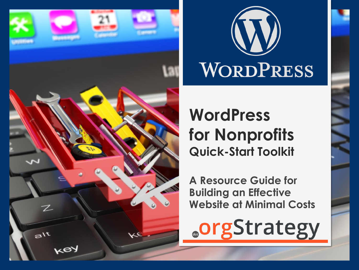

Z

 $a^{\dagger t}$ 

key



≺€



#### **WordPress for Nonprofits Quick-Start Toolkit**

**A Resource Guide for Building an Effective Website at Minimal Costs**

**.orgStrategy**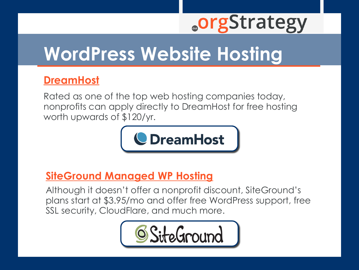### **WordPress Website Hosting**

#### **[DreamHost](https://dreamhost.com/)**

Rated as one of the top web hosting companies today, nonprofits can apply directly to DreamHost for free hosting worth upwards of \$120/yr.



#### **SiteGround [Managed WP Hosting](https://www.siteground.com/go/wordpresssolhosting)**

[Although it doesn't offer a nonprofit discount, SiteGround's](https://www.siteground.com/go/wordpresssolhosting) plans start at \$3.95/mo and offer free WordPress support, free SSL security, CloudFlare, and much more.

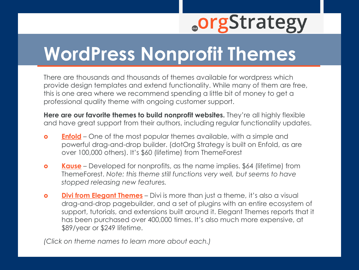#### **WordPress Nonprofit Themes**

There are thousands and thousands of themes available for wordpress which provide design templates and extend functionality. While many of them are free, this is one area where we recommend spending a little bit of money to get a professional quality theme with ongoing customer support.

**Here are our favorite themes to build nonprofit websites.** They're all highly flexible and have great support from their authors, including regular functionality updates.

- **[Enfold](https://themeforest.net/item/enfold-responsive-multipurpose-theme/4519990?s_rank=1)** One of the most popular themes available, with a simple and powerful drag-and-drop builder. (dotOrg Strategy is built on Enfold, as are over 100,000 others). It's \$60 (lifetime) from ThemeForest
- **[Kause](https://themeforest.net/item/kause-multi-purpose-wordpress-theme/6684433)** Developed for nonprofits, as the name implies. \$64 (lifetime) from ThemeForest. *Note: this theme still functions very well, but seems to have stopped releasing new features.*
- **o Divi [from Elegant Themes](https://dotorgstrategy.com/divi)** Divi is more than just a theme, it's also a visual drag-and-drop pagebuilder, and a set of plugins with an entire ecosystem of support, tutorials, and extensions built around it. Elegant Themes reports that it has been purchased over 400,000 times. It's also much more expensive, at \$89/year or \$249 lifetime.

*(Click on theme names to learn more about each.)*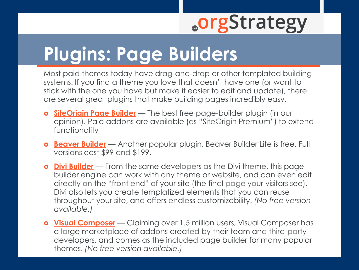# **Plugins: Page Builders**

Most paid themes today have drag-and-drop or other templated building systems. If you find a theme you love that doesn't have one (or want to stick with the one you have but make it easier to edit and update), there are several great plugins that make building pages incredibly easy.

- **SiteOrigin [Page Builder](https://siteorigin.com/page-builder/)** The best free page-builder plugin (in our opinion). Paid addons are available (as "SiteOrigin Premium") to extend functionality
- **[Beaver Builder](https://wordpress.org/plugins/beaver-builder-lite-version/)** Another popular plugin, Beaver Builder Lite is free. Full versions cost \$99 and \$199.
- **Divi [Builder](https://dotorgstrategy.com/divi)** From the same developers as the Divi theme, this page builder engine can work with any theme or website, and can even edit directly on the "front end" of your site (the final page your visitors see). Divi also lets you create templatized elements that you can reuse throughout your site, and offers endless customizability. *(No free version available.)*
- **[Visual Composer](https://vc.wpbakery.com/)** Claiming over 1.5 million users, Visual Composer has a large marketplace of addons created by their team and third-party developers, and comes as the included page builder for many popular themes. *(No free version available.)*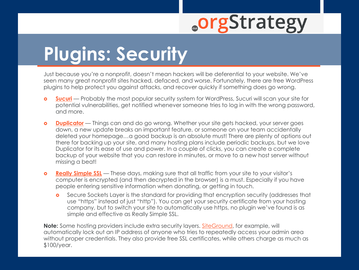# **Plugins: Security**

Just because you're a nonprofit, doesn't mean hackers will be deferential to your website. We've seen many great nonprofit sites hacked, defaced, and worse. Fortunately, there are free WordPress plugins to help protect you against attacks, and recover quickly if something does go wrong.

- **[Sucuri](https://wordpress.org/plugins/sucuri-scanner/)** Probably the most popular security system for WordPress, Sucuri will scan your site for potential vulnerabilities, get notified whenever someone tries to log in with the wrong password, and more.
- **o [Duplicator](https://wordpress.org/plugins/duplicator/)** Things can and do go wrong. Whether your site gets hacked, your server goes down, a new update breaks an important feature, or someone on your team accidentally deleted your homepage…a good backup is an absolute must! There are plenty of options out there for backing up your site, and many hosting plans include periodic backups, but we love Duplicator for its ease of use and power. In a couple of clicks, you can create a complete backup of your website that you can restore in minutes, or move to a new host server without missing a beat!
- **o [Really Simple SSL](https://wordpress.org/plugins/really-simple-ssl/)** These days, making sure that all traffic from your site to your visitor's computer is encrypted (and then decrypted in the browser) is a must. Especially if you have people entering sensitive information when donating, or getting in touch.
	- **o** Secure Sockets Layer is the standard for providing that encryption security (addresses that use "https" instead of just "http"). You can get your security certificate from your hosting company, but to switch your site to automatically use https, no plugin we've found is as simple and effective as Really Simple SSL.

**Note:** Some hosting providers include extra security layers. [SiteGround,](https://dotorgstrategy.com/siteground) for example, will automatically lock out an IP address of anyone who tries to repeatedly access your admin area without proper credentials. They also provide free SSL certificates, while others charge as much as \$100/year.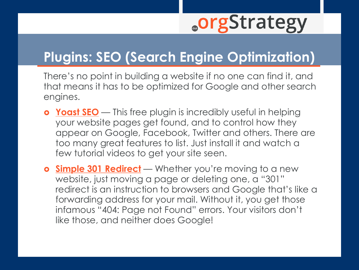#### **Plugins: SEO (Search Engine Optimization)**

There's no point in building a website if no one can find it, and that means it has to be optimized for Google and other search engines.

- **o** [Yoast SEO](https://wordpress.org/plugins/wordpress-seo/) This free plugin is incredibly useful in helping your website pages get found, and to control how they appear on Google, Facebook, Twitter and others. There are too many great features to list. Just install it and watch a few tutorial videos to get your site seen.
- **o [Simple 301 Redirect](https://wordpress.org/plugins/search/simple+301/)** Whether you're moving to a new website, just moving a page or deleting one, a "301" redirect is an instruction to browsers and Google that's like a forwarding address for your mail. Without it, you get those infamous "404: Page not Found" errors. Your visitors don't like those, and neither does Google!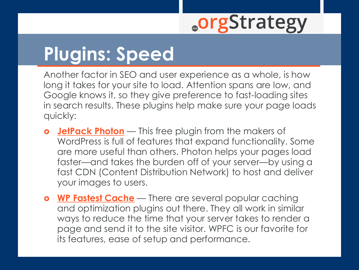# **Plugins: Speed**

Another factor in SEO and user experience as a whole, is how long it takes for your site to load. Attention spans are low, and Google knows it, so they give preference to fast-loading sites in search results. These plugins help make sure your page loads quickly:

- **[JetPack](https://wordpress.org/plugins/jetpack/) Photon** This free plugin from the makers of WordPress is full of features that expand functionality. Some are more useful than others. Photon helps your pages load faster—and takes the burden off of your server—by using a fast CDN (Content Distribution Network) to host and deliver your images to users.
- **o [WP Fastest Cache](https://wordpress.org/plugins/wp-fastest-cache/)** There are several popular caching and optimization plugins out there. They all work in similar ways to reduce the time that your server takes to render a page and send it to the site visitor. WPFC is our favorite for its features, ease of setup and performance.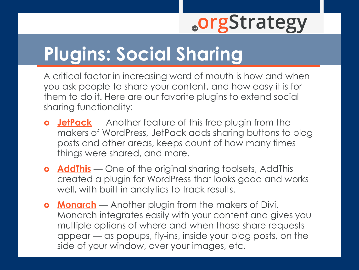# **Plugins: Social Sharing**

A critical factor in increasing word of mouth is how and when you ask people to share your content, and how easy it is for them to do it. Here are our favorite plugins to extend social sharing functionality:

- **[JetPack](https://wordpress.org/plugins/jetpack/)** Another feature of this free plugin from the makers of WordPress, JetPack adds sharing buttons to blog posts and other areas, keeps count of how many times things were shared, and more.
- **o [AddThis](https://wordpress.org/plugins/addthis/)** One of the original sharing toolsets, AddThis created a plugin for WordPress that looks good and works well, with built-in analytics to track results.
- **o [Monarch](https://dotorgstrategy.com/divi)** Another plugin from the makers of Divi. Monarch integrates easily with your content and gives you multiple options of where and when those share requests appear — as popups, fly-ins, inside your blog posts, on the side of your window, over your images, etc.